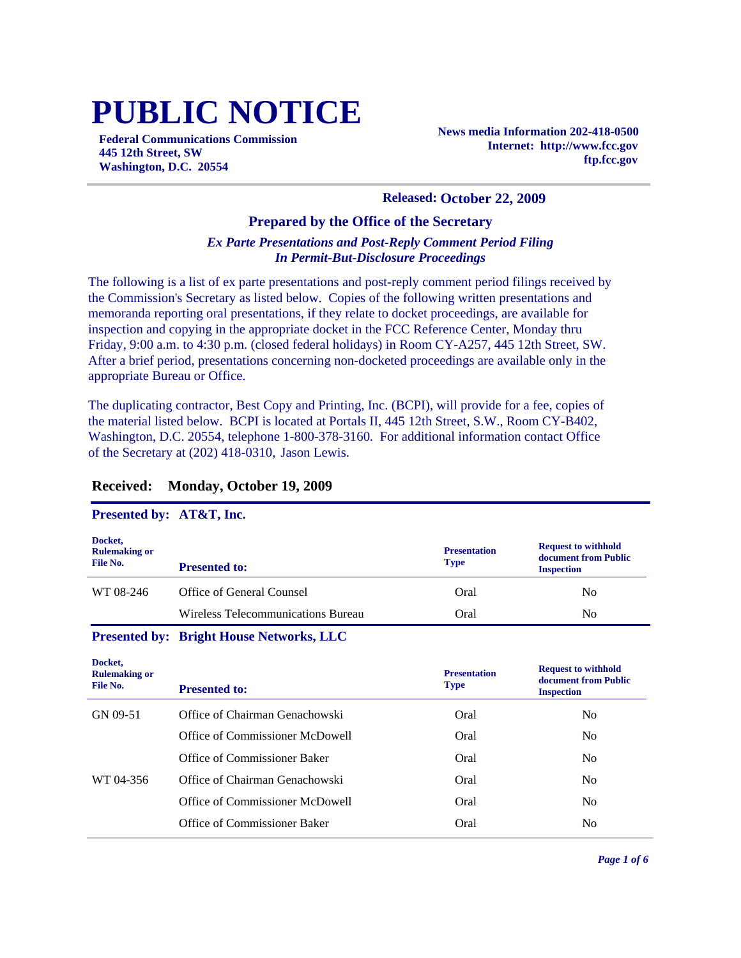# **PUBLIC NOTICE**

**Federal Communications Commission 445 12th Street, SW Washington, D.C. 20554**

**News media Information 202-418-0500 Internet: http://www.fcc.gov ftp.fcc.gov**

#### **Released: October 22, 2009**

#### **Prepared by the Office of the Secretary**

#### *Ex Parte Presentations and Post-Reply Comment Period Filing In Permit-But-Disclosure Proceedings*

The following is a list of ex parte presentations and post-reply comment period filings received by the Commission's Secretary as listed below. Copies of the following written presentations and memoranda reporting oral presentations, if they relate to docket proceedings, are available for inspection and copying in the appropriate docket in the FCC Reference Center, Monday thru Friday, 9:00 a.m. to 4:30 p.m. (closed federal holidays) in Room CY-A257, 445 12th Street, SW. After a brief period, presentations concerning non-docketed proceedings are available only in the appropriate Bureau or Office.

The duplicating contractor, Best Copy and Printing, Inc. (BCPI), will provide for a fee, copies of the material listed below. BCPI is located at Portals II, 445 12th Street, S.W., Room CY-B402, Washington, D.C. 20554, telephone 1-800-378-3160. For additional information contact Office of the Secretary at (202) 418-0310, Jason Lewis.

#### **Received: Monday, October 19, 2009**

#### **Presented by: AT&T, Inc.**

| Docket,<br><b>Rulemaking or</b><br>File No. | <b>Presented to:</b>               | <b>Presentation</b><br><b>Type</b> | <b>Request to withhold</b><br>document from Public<br><b>Inspection</b> |
|---------------------------------------------|------------------------------------|------------------------------------|-------------------------------------------------------------------------|
| WT 08-246                                   | Office of General Counsel          | Oral                               | N <sub>0</sub>                                                          |
|                                             | Wireless Telecommunications Bureau | Oral                               | N <sub>0</sub>                                                          |

#### **Presented by: Bright House Networks, LLC**

| Docket,<br><b>Rulemaking or</b><br>File No. | <b>Presented to:</b>            | <b>Presentation</b><br><b>Type</b> | <b>Request to withhold</b><br>document from Public<br><b>Inspection</b> |
|---------------------------------------------|---------------------------------|------------------------------------|-------------------------------------------------------------------------|
| GN 09-51                                    | Office of Chairman Genachowski  | Oral                               | No.                                                                     |
|                                             | Office of Commissioner McDowell | Oral                               | N <sub>0</sub>                                                          |
|                                             | Office of Commissioner Baker    | Oral                               | N <sub>0</sub>                                                          |
| WT 04-356                                   | Office of Chairman Genachowski  | Oral                               | N <sub>0</sub>                                                          |
|                                             | Office of Commissioner McDowell | Oral                               | No.                                                                     |
|                                             | Office of Commissioner Baker    | Oral                               | No                                                                      |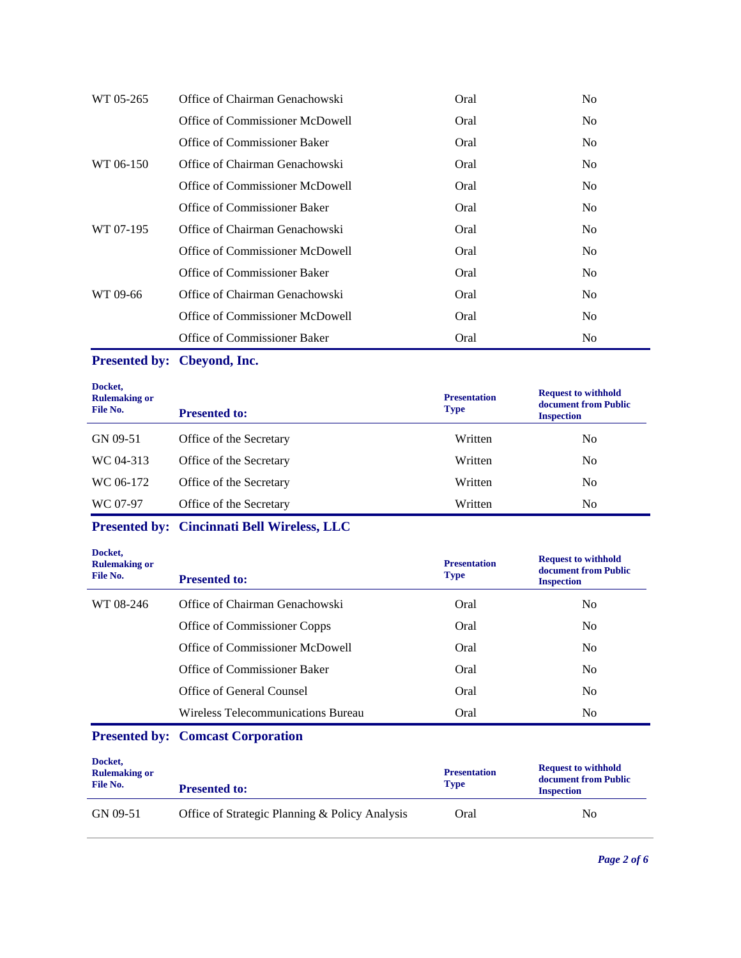| WT 05-265 | Office of Chairman Genachowski  | Oral | N <sub>0</sub> |
|-----------|---------------------------------|------|----------------|
|           | Office of Commissioner McDowell | Oral | N <sub>0</sub> |
|           | Office of Commissioner Baker    | Oral | N <sub>0</sub> |
| WT 06-150 | Office of Chairman Genachowski  | Oral | N <sub>0</sub> |
|           | Office of Commissioner McDowell | Oral | N <sub>0</sub> |
|           | Office of Commissioner Baker    | Oral | N <sub>0</sub> |
| WT 07-195 | Office of Chairman Genachowski  | Oral | N <sub>0</sub> |
|           | Office of Commissioner McDowell | Oral | N <sub>0</sub> |
|           | Office of Commissioner Baker    | Oral | N <sub>0</sub> |
| WT 09-66  | Office of Chairman Genachowski  | Oral | N <sub>0</sub> |
|           | Office of Commissioner McDowell | Oral | N <sub>0</sub> |
|           | Office of Commissioner Baker    | Oral | N <sub>0</sub> |

## **Presented by: Cbeyond, Inc.**

| Docket,<br><b>Rulemaking or</b><br>File No. | <b>Presented to:</b>    | <b>Presentation</b><br><b>Type</b> | <b>Request to withhold</b><br>document from Public<br><b>Inspection</b> |
|---------------------------------------------|-------------------------|------------------------------------|-------------------------------------------------------------------------|
| GN 09-51                                    | Office of the Secretary | Written                            | N <sub>0</sub>                                                          |
| WC 04-313                                   | Office of the Secretary | Written                            | N <sub>0</sub>                                                          |
| WC 06-172                                   | Office of the Secretary | Written                            | N <sub>0</sub>                                                          |
| WC 07-97                                    | Office of the Secretary | Written                            | N <sub>0</sub>                                                          |

## **Presented by: Cincinnati Bell Wireless, LLC**

| Docket,<br><b>Rulemaking or</b><br>File No. | <b>Presented to:</b>               | <b>Presentation</b><br><b>Type</b> | <b>Request to withhold</b><br>document from Public<br><b>Inspection</b> |
|---------------------------------------------|------------------------------------|------------------------------------|-------------------------------------------------------------------------|
| WT 08-246                                   | Office of Chairman Genachowski     | Oral                               | N <sub>0</sub>                                                          |
|                                             | Office of Commissioner Copps       | Oral                               | N <sub>0</sub>                                                          |
|                                             | Office of Commissioner McDowell    | Oral                               | N <sub>0</sub>                                                          |
|                                             | Office of Commissioner Baker       | Oral                               | No.                                                                     |
|                                             | Office of General Counsel          | Oral                               | N <sub>0</sub>                                                          |
|                                             | Wireless Telecommunications Bureau | Oral                               | N <sub>o</sub>                                                          |

# **Presented by: Comcast Corporation**

| Docket,<br><b>Rulemaking or</b><br>File No. | <b>Presented to:</b>                           | <b>Presentation</b><br><b>Type</b> | <b>Request to withhold</b><br>document from Public<br><b>Inspection</b> |
|---------------------------------------------|------------------------------------------------|------------------------------------|-------------------------------------------------------------------------|
| GN 09-51                                    | Office of Strategic Planning & Policy Analysis | Oral                               | No                                                                      |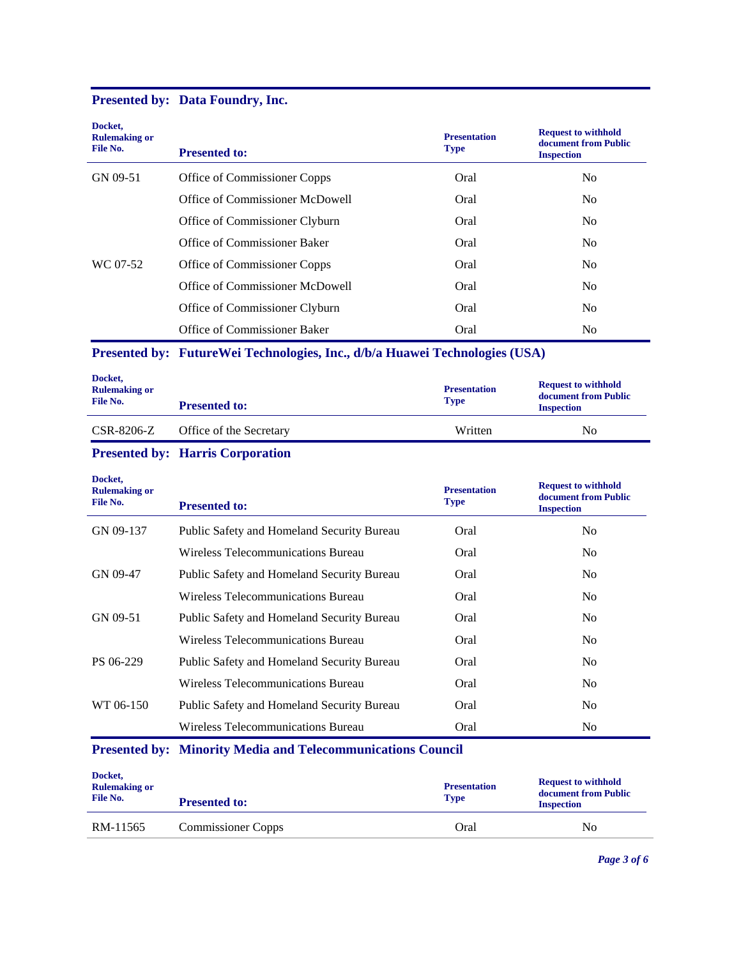## **Presented by: Data Foundry, Inc.**

| Docket,<br><b>Rulemaking or</b><br>File No. | <b>Presented to:</b>            | <b>Presentation</b><br><b>Type</b> | <b>Request to withhold</b><br>document from Public<br><b>Inspection</b> |
|---------------------------------------------|---------------------------------|------------------------------------|-------------------------------------------------------------------------|
| GN 09-51                                    | Office of Commissioner Copps    | Oral                               | N <sub>0</sub>                                                          |
|                                             | Office of Commissioner McDowell | Oral                               | N <sub>0</sub>                                                          |
|                                             | Office of Commissioner Clyburn  | Oral                               | N <sub>0</sub>                                                          |
|                                             | Office of Commissioner Baker    | Oral                               | N <sub>0</sub>                                                          |
| WC 07-52                                    | Office of Commissioner Copps    | Oral                               | N <sub>0</sub>                                                          |
|                                             | Office of Commissioner McDowell | Oral                               | N <sub>0</sub>                                                          |
|                                             | Office of Commissioner Clyburn  | Oral                               | N <sub>0</sub>                                                          |
|                                             | Office of Commissioner Baker    | Oral                               | N <sub>0</sub>                                                          |

## **Presented by: FutureWei Technologies, Inc., d/b/a Huawei Technologies (USA)**

| Docket,<br><b>Rulemaking or</b><br>File No. | <b>Presented to:</b>    | <b>Presentation</b><br><b>Type</b> | <b>Request to withhold</b><br>document from Public<br><b>Inspection</b> |
|---------------------------------------------|-------------------------|------------------------------------|-------------------------------------------------------------------------|
| CSR-8206-Z                                  | Office of the Secretary | Written                            | N <sub>0</sub>                                                          |

### **Presented by: Harris Corporation**

| Docket,<br><b>Rulemaking or</b><br>File No. | <b>Presented to:</b>                                               | <b>Presentation</b><br><b>Type</b> | <b>Request to withhold</b><br>document from Public<br><b>Inspection</b> |
|---------------------------------------------|--------------------------------------------------------------------|------------------------------------|-------------------------------------------------------------------------|
| GN 09-137                                   | Public Safety and Homeland Security Bureau                         | Oral                               | No.                                                                     |
|                                             | Wireless Telecommunications Bureau                                 | Oral                               | N <sub>o</sub>                                                          |
| GN 09-47                                    | Public Safety and Homeland Security Bureau                         | Oral                               | N <sub>0</sub>                                                          |
|                                             | Wireless Telecommunications Bureau                                 | Oral                               | N <sub>0</sub>                                                          |
| GN 09-51                                    | Public Safety and Homeland Security Bureau                         | Oral                               | N <sub>o</sub>                                                          |
|                                             | Wireless Telecommunications Bureau                                 | Oral                               | N <sub>0</sub>                                                          |
| PS 06-229                                   | Public Safety and Homeland Security Bureau                         | Oral                               | N <sub>0</sub>                                                          |
|                                             | Wireless Telecommunications Bureau                                 | Oral                               | N <sub>o</sub>                                                          |
| WT 06-150                                   | Public Safety and Homeland Security Bureau                         | Oral                               | N <sub>o</sub>                                                          |
|                                             | Wireless Telecommunications Bureau                                 | Oral                               | N <sub>0</sub>                                                          |
|                                             | <b>Presented by: Minority Media and Telecommunications Council</b> |                                    |                                                                         |

| Docket,<br><b>Rulemaking or</b><br>File No. | <b>Presented to:</b>      | <b>Presentation</b><br><b>Type</b> | <b>Request to withhold</b><br>document from Public<br><b>Inspection</b> |
|---------------------------------------------|---------------------------|------------------------------------|-------------------------------------------------------------------------|
| RM-11565                                    | <b>Commissioner Copps</b> | Oral                               | N <sub>0</sub>                                                          |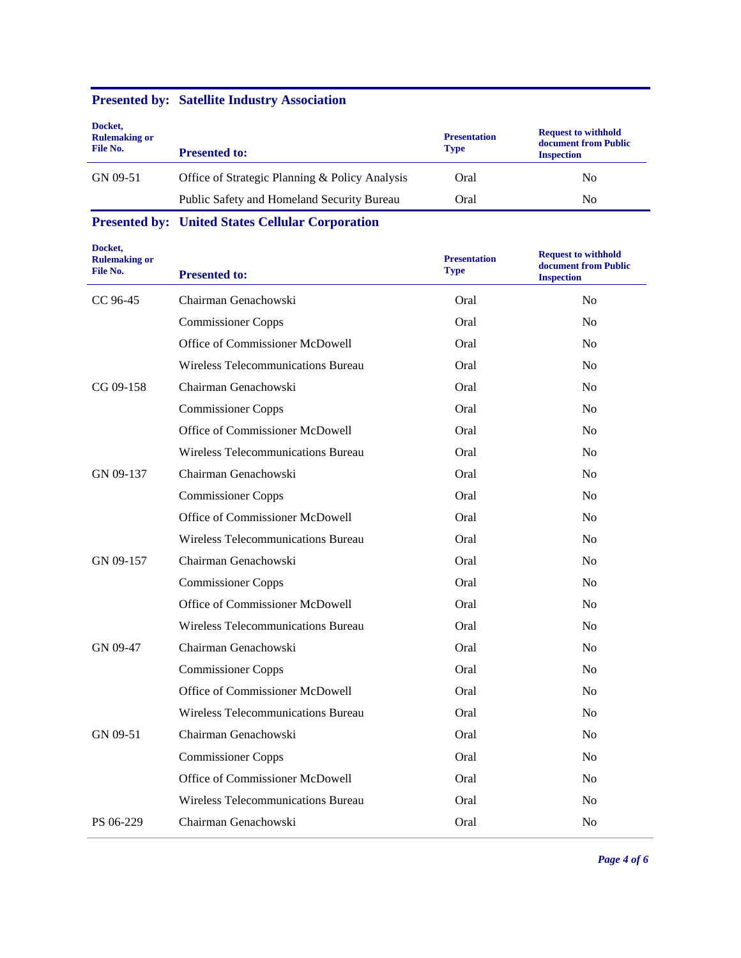## **Presented by: Satellite Industry Association**

| Docket,<br><b>Rulemaking or</b><br>File No. | <b>Presented to:</b>                           | <b>Presentation</b><br><b>Type</b> | <b>Request to withhold</b><br>document from Public<br><b>Inspection</b> |
|---------------------------------------------|------------------------------------------------|------------------------------------|-------------------------------------------------------------------------|
| GN 09-51                                    | Office of Strategic Planning & Policy Analysis | Oral                               | No.                                                                     |
|                                             | Public Safety and Homeland Security Bureau     | Oral                               | No.                                                                     |

**Presented by: United States Cellular Corporation**

| Docket,<br><b>Rulemaking or</b><br>File No. | <b>Presented to:</b>               | <b>Presentation</b><br><b>Type</b> | <b>Request to withhold</b><br>document from Public<br><b>Inspection</b> |
|---------------------------------------------|------------------------------------|------------------------------------|-------------------------------------------------------------------------|
| CC 96-45                                    | Chairman Genachowski               | Oral                               | No                                                                      |
|                                             | <b>Commissioner Copps</b>          | Oral                               | N <sub>o</sub>                                                          |
|                                             | Office of Commissioner McDowell    | Oral                               | N <sub>o</sub>                                                          |
|                                             | Wireless Telecommunications Bureau | Oral                               | N <sub>o</sub>                                                          |
| CG 09-158                                   | Chairman Genachowski               | Oral                               | No                                                                      |
|                                             | <b>Commissioner Copps</b>          | Oral                               | No                                                                      |
|                                             | Office of Commissioner McDowell    | Oral                               | N <sub>o</sub>                                                          |
|                                             | Wireless Telecommunications Bureau | Oral                               | N <sub>o</sub>                                                          |
| GN 09-137                                   | Chairman Genachowski               | Oral                               | N <sub>0</sub>                                                          |
|                                             | <b>Commissioner Copps</b>          | Oral                               | No                                                                      |
|                                             | Office of Commissioner McDowell    | Oral                               | N <sub>o</sub>                                                          |
|                                             | Wireless Telecommunications Bureau | Oral                               | N <sub>o</sub>                                                          |
| GN 09-157                                   | Chairman Genachowski               | Oral                               | No                                                                      |
|                                             | <b>Commissioner Copps</b>          | Oral                               | N <sub>0</sub>                                                          |
|                                             | Office of Commissioner McDowell    | Oral                               | No                                                                      |
|                                             | Wireless Telecommunications Bureau | Oral                               | N <sub>o</sub>                                                          |
| GN 09-47                                    | Chairman Genachowski               | Oral                               | N <sub>o</sub>                                                          |
|                                             | <b>Commissioner Copps</b>          | Oral                               | N <sub>o</sub>                                                          |
|                                             | Office of Commissioner McDowell    | Oral                               | No                                                                      |
|                                             | Wireless Telecommunications Bureau | Oral                               | N <sub>0</sub>                                                          |
| GN 09-51                                    | Chairman Genachowski               | Oral                               | N <sub>o</sub>                                                          |
|                                             | <b>Commissioner Copps</b>          | Oral                               | N <sub>o</sub>                                                          |
|                                             | Office of Commissioner McDowell    | Oral                               | N <sub>0</sub>                                                          |
|                                             | Wireless Telecommunications Bureau | Oral                               | N <sub>0</sub>                                                          |
| PS 06-229                                   | Chairman Genachowski               | Oral                               | N <sub>o</sub>                                                          |

*Page 4 of 6*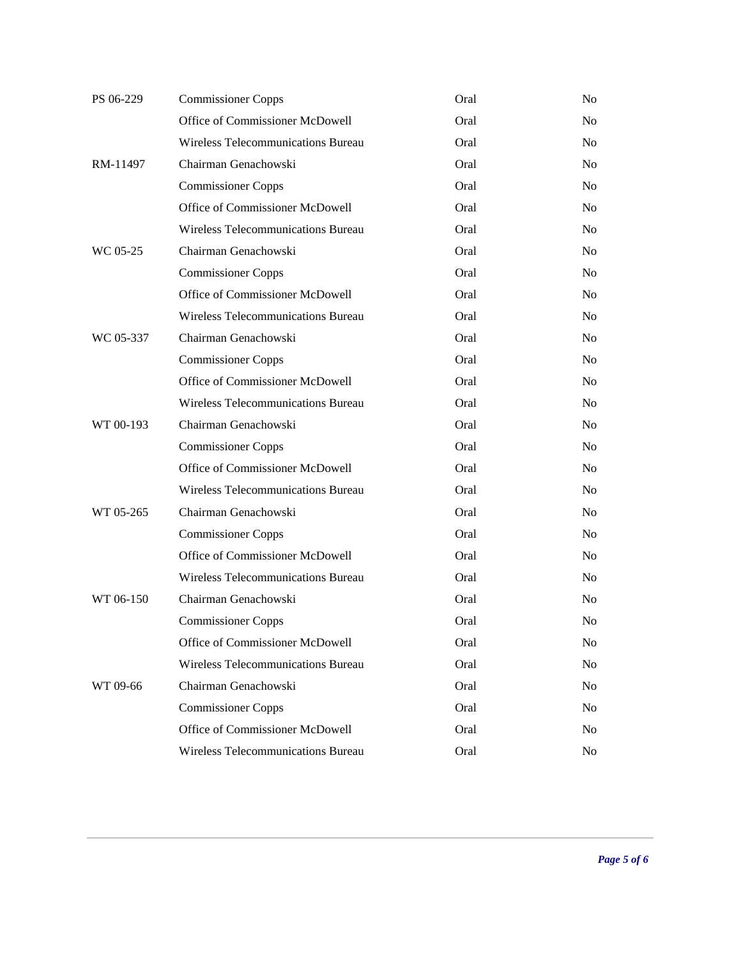| PS 06-229 | <b>Commissioner Copps</b>          | Oral | No             |
|-----------|------------------------------------|------|----------------|
|           | Office of Commissioner McDowell    | Oral | N <sub>o</sub> |
|           | Wireless Telecommunications Bureau | Oral | No.            |
| RM-11497  | Chairman Genachowski               | Oral | N <sub>o</sub> |
|           | <b>Commissioner Copps</b>          | Oral | No.            |
|           | Office of Commissioner McDowell    | Oral | N <sub>o</sub> |
|           | Wireless Telecommunications Bureau | Oral | No.            |
| WC 05-25  | Chairman Genachowski               | Oral | N <sub>o</sub> |
|           | <b>Commissioner Copps</b>          | Oral | No.            |
|           | Office of Commissioner McDowell    | Oral | No.            |
|           | Wireless Telecommunications Bureau | Oral | No.            |
| WC 05-337 | Chairman Genachowski               | Oral | N <sub>o</sub> |
|           | <b>Commissioner Copps</b>          | Oral | No.            |
|           | Office of Commissioner McDowell    | Oral | N <sub>o</sub> |
|           | Wireless Telecommunications Bureau | Oral | No.            |
| WT 00-193 | Chairman Genachowski               | Oral | N <sub>o</sub> |
|           | <b>Commissioner Copps</b>          | Oral | No.            |
|           | Office of Commissioner McDowell    | Oral | N <sub>o</sub> |
|           | Wireless Telecommunications Bureau | Oral | No.            |
| WT 05-265 | Chairman Genachowski               | Oral | N <sub>o</sub> |
|           | <b>Commissioner Copps</b>          | Oral | No.            |
|           | Office of Commissioner McDowell    | Oral | N <sub>o</sub> |
|           | Wireless Telecommunications Bureau | Oral | No.            |
| WT 06-150 | Chairman Genachowski               | Oral | N <sub>o</sub> |
|           | <b>Commissioner Copps</b>          | Oral | No             |
|           | Office of Commissioner McDowell    | Oral | No             |
|           | Wireless Telecommunications Bureau | Oral | N <sub>o</sub> |
| WT 09-66  | Chairman Genachowski               | Oral | No             |
|           | <b>Commissioner Copps</b>          | Oral | No.            |
|           | Office of Commissioner McDowell    | Oral | N <sub>0</sub> |
|           | Wireless Telecommunications Bureau | Oral | No             |